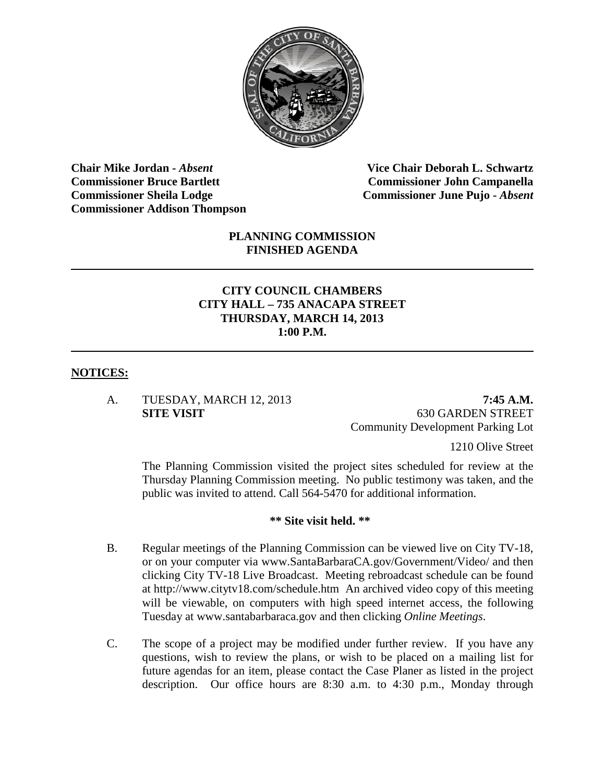

**Chair Mike Jordan -** *Absent* **Vice Chair Deborah L. Schwartz Commissioner Bruce Bartlett Commissioner John Campanella Commissioner Sheila Lodge Commissioner June Pujo -** *Absent* **Commissioner Addison Thompson**

### **PLANNING COMMISSION FINISHED AGENDA**

### **CITY COUNCIL CHAMBERS CITY HALL – 735 ANACAPA STREET THURSDAY, MARCH 14, 2013 1:00 P.M.**

#### **NOTICES:**

A. TUESDAY, MARCH 12, 2013 **7:45 A.M.**

**SITE VISIT** 630 GARDEN STREET Community Development Parking Lot

1210 Olive Street

The Planning Commission visited the project sites scheduled for review at the Thursday Planning Commission meeting. No public testimony was taken, and the public was invited to attend. Call 564-5470 for additional information.

#### **\*\* Site visit held. \*\***

- B. Regular meetings of the Planning Commission can be viewed live on City TV-18, or on your computer via [www.SantaBarbaraCA.gov/Government/Video/](http://www.santabarbaraca.gov/Government/Video/) and then clicking City TV-18 Live Broadcast. Meeting rebroadcast schedule can be found at<http://www.citytv18.com/schedule.htm>An archived video copy of this meeting will be viewable, on computers with high speed internet access, the following Tuesday at [www.santabarbaraca.gov](http://www.santabarbaraca.gov/) and then clicking *Online Meetings*.
- C. The scope of a project may be modified under further review.If you have any questions, wish to review the plans, or wish to be placed on a mailing list for future agendas for an item, please contact the Case Planer as listed in the project description. Our office hours are 8:30 a.m. to 4:30 p.m., Monday through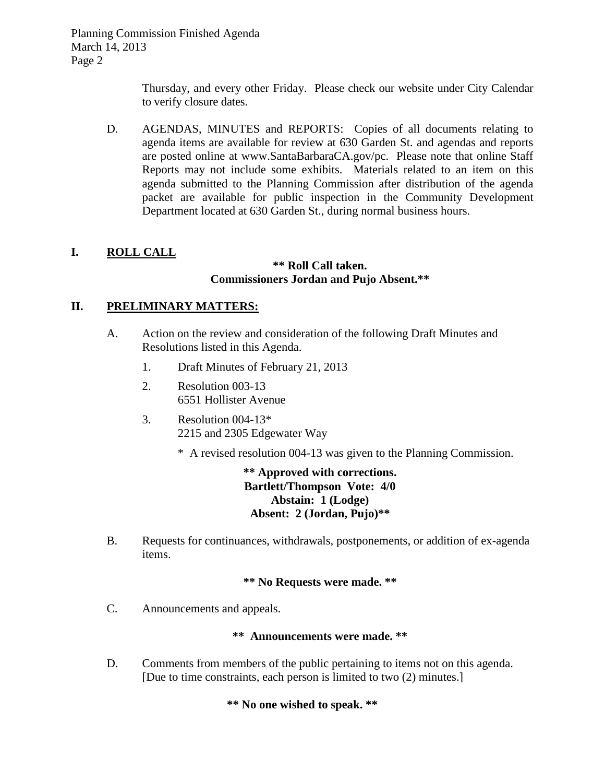Thursday, and every other Friday.Please check our website under City Calendar to verify closure dates.

D. AGENDAS, MINUTES and REPORTS: Copies of all documents relating to agenda items are available for review at 630 Garden St. and agendas and reports are posted online at [www.SantaBarbaraCA.gov/](http://www.santabarbaraca.gov/)pc. Please note that online Staff Reports may not include some exhibits. Materials related to an item on this agenda submitted to the Planning Commission after distribution of the agenda packet are available for public inspection in the Community Development Department located at 630 Garden St., during normal business hours.

# **I. ROLL CALL**

#### **\*\* Roll Call taken. Commissioners Jordan and Pujo Absent.\*\***

### **II. PRELIMINARY MATTERS:**

- A. Action on the review and consideration of the following Draft Minutes and Resolutions listed in this Agenda.
	- 1. Draft Minutes of February 21, 2013
	- 2. Resolution 003-13 6551 Hollister Avenue
	- 3. Resolution 004-13\* 2215 and 2305 Edgewater Way
		- \* A revised resolution 004-13 was given to the Planning Commission.

**\*\* Approved with corrections. Bartlett/Thompson Vote: 4/0 Abstain: 1 (Lodge) Absent: 2 (Jordan, Pujo)\*\***

B. Requests for continuances, withdrawals, postponements, or addition of ex-agenda items.

#### **\*\* No Requests were made. \*\***

C. Announcements and appeals.

### **\*\* Announcements were made. \*\***

D. Comments from members of the public pertaining to items not on this agenda. [Due to time constraints, each person is limited to two (2) minutes.]

**\*\* No one wished to speak. \*\***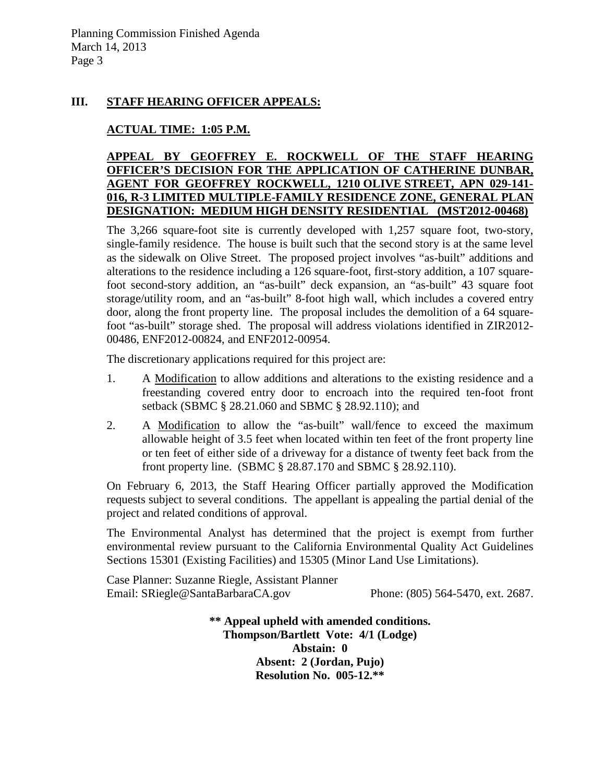### **III. STAFF HEARING OFFICER APPEALS:**

# **ACTUAL TIME: 1:05 P.M.**

### **APPEAL BY GEOFFREY E. ROCKWELL OF THE STAFF HEARING OFFICER'S DECISION FOR THE APPLICATION OF CATHERINE DUNBAR, AGENT FOR GEOFFREY ROCKWELL, 1210 OLIVE STREET, APN 029-141- 016, R-3 LIMITED MULTIPLE-FAMILY RESIDENCE ZONE, GENERAL PLAN DESIGNATION: MEDIUM HIGH DENSITY RESIDENTIAL (MST2012-00468)**

The 3,266 square-foot site is currently developed with 1,257 square foot, two-story, single-family residence. The house is built such that the second story is at the same level as the sidewalk on Olive Street. The proposed project involves "as-built" additions and alterations to the residence including a 126 square-foot, first-story addition, a 107 squarefoot second-story addition, an "as-built" deck expansion, an "as-built" 43 square foot storage/utility room, and an "as-built" 8-foot high wall, which includes a covered entry door, along the front property line. The proposal includes the demolition of a 64 squarefoot "as-built" storage shed. The proposal will address violations identified in ZIR2012- 00486, ENF2012-00824, and ENF2012-00954.

The discretionary applications required for this project are:

- 1. A Modification to allow additions and alterations to the existing residence and a freestanding covered entry door to encroach into the required ten-foot front setback (SBMC § 28.21.060 and SBMC § 28.92.110); and
- 2. A Modification to allow the "as-built" wall/fence to exceed the maximum allowable height of 3.5 feet when located within ten feet of the front property line or ten feet of either side of a driveway for a distance of twenty feet back from the front property line. (SBMC § 28.87.170 and SBMC § 28.92.110).

On February 6, 2013, the Staff Hearing Officer partially approved the Modification requests subject to several conditions. The appellant is appealing the partial denial of the project and related conditions of approval.

The Environmental Analyst has determined that the project is exempt from further environmental review pursuant to the California Environmental Quality Act Guidelines Sections 15301 (Existing Facilities) and 15305 (Minor Land Use Limitations).

Case Planner: Suzanne Riegle, Assistant Planner Email: SRiegle@SantaBarbaraCA.gov Phone: (805) 564-5470, ext. 2687.

> **\*\* Appeal upheld with amended conditions. Thompson/Bartlett Vote: 4/1 (Lodge) Abstain: 0 Absent: 2 (Jordan, Pujo) Resolution No. 005-12.\*\***